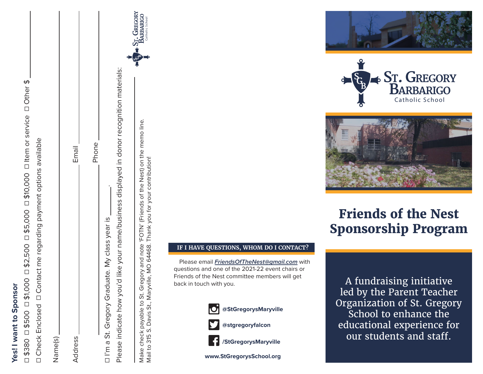| í      |
|--------|
|        |
|        |
| í      |
| í<br>i |
| C      |
|        |
|        |
|        |
|        |
|        |
|        |
|        |
|        |
|        |
|        |
|        |
|        |
|        |
|        |
|        |

☐ \$380 ☐ \$500 ☐ \$1,000 ☐ \$2,500 ☐ \$5,000 ☐ \$10,000 ☐ Item or service ☐ Other \$ □\$10,000 □ Item or service □ Other \$  $\Box$  \$2,500  $\Box$  \$5,000 \$1,000  $\Box$ \$500  $\Box$ \$380  $\Box$  $\Box$ 

Contact me regarding payment options available ☐ Check Enclosed ☐ Contact me regarding payment options available  $\Box$ Check Enclosed

| Name(s)                                                                                                                                                                    |                                               |
|----------------------------------------------------------------------------------------------------------------------------------------------------------------------------|-----------------------------------------------|
| Address                                                                                                                                                                    | Email                                         |
|                                                                                                                                                                            | Phone                                         |
| Please indicate how you'd like your name/business displayed in donor recognition materials:<br>□ I'm a St. Gregory Graduate. My class year is                              |                                               |
| Make check payable to St. Gregory and note 'FOTN' (Friends of the Nest) on the memo line.<br>Mail to 315 S. Davis St. Marwille, MO 64468. Thank you for your contribution! | + ST. GREGORY<br>BARBARIGO<br>Catholic School |

Mail to 315 S. Davis St., Maryville, MO 64468. Thank you for your contribution!

Mail to 315 S. Davis St., Maryville, MO 64468. Thank you for your contribution!







# **Friends of the Nest Sponsorship Program**

A fundraising initiative led by the Parent Teacher Organization of St. Gregory School to enhance the educational experience for our students and staff.

#### **IF I HAVE QUESTIONS, WHOM DO I CONTACT?**

Please email *FriendsOfTheNest@gmail.com* with questions and one of the 2021-22 event chairs or Friends of the Nest committee members will get back in touch with you.



**www.StGregorysSchool.org**